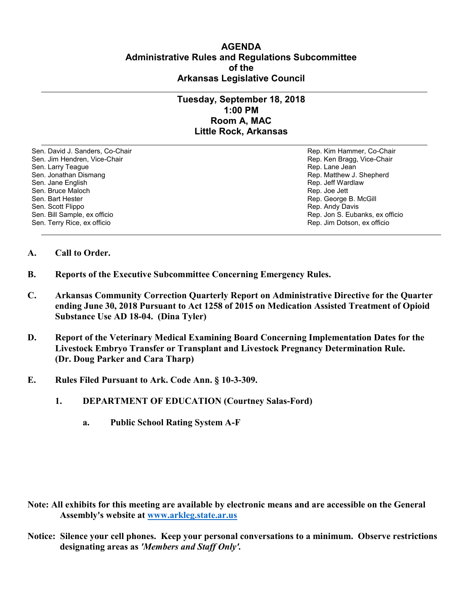## **AGENDA Administrative Rules and Regulations Subcommittee of the Arkansas Legislative Council**

## **Tuesday, September 18, 2018 1:00 PM Room A, MAC Little Rock, Arkansas**

Sen. David J. Sanders, Co-Chair Rep. Kim Hammer, Co-Chair Sen. Jim Hendren, Vice-Chair Rep. Ken Bragg, Vice-Chair Rep. Ken Bragg, Vice-Chair Sen. Larry Teague Rep. Lane Jean Controller and Sen. Lane Jean Controller and Sen. Lane Jean Controller and Se<br>Sen. Jonathan Dismang Rep. Matthew J. Sen. Jane English Rep. Jane Brook and the sense of the sense of the sense of the sense of the sense of the sense of the sense of the sense of the sense of the sense of the sense of the sense of the sense of the sense of th Sen. Bruce Maloch Rep. Joe Jett Sen. Bruce Maloch Rep. Joe Jett Rep. Joe Jett Sen. Bart Hester Rep. Joe Jett Sen. Bart Hester Rep. Joe Jett Sen. Bart Hester Rep. Joe Jett Sen. Bart Hester Rep. George Sen. Bart Hester Rep. George B. McGill (Sen. Bart Hester Rep. George B. McGill (Sen. Scott Flippo) Sen. Scott Flippo Rep. Andy Davis Sen. Terry Rice, ex officio Rep. Jim Dotson, ex officio

Rep. Matthew J. Shepherd Rep. Jon S. Eubanks, ex officio

- **A. Call to Order.**
- **B. Reports of the Executive Subcommittee Concerning Emergency Rules.**
- **C. Arkansas Community Correction Quarterly Report on Administrative Directive for the Quarter ending June 30, 2018 Pursuant to Act 1258 of 2015 on Medication Assisted Treatment of Opioid Substance Use AD 18-04. (Dina Tyler)**
- **D. Report of the Veterinary Medical Examining Board Concerning Implementation Dates for the Livestock Embryo Transfer or Transplant and Livestock Pregnancy Determination Rule. (Dr. Doug Parker and Cara Tharp)**
- **E. Rules Filed Pursuant to Ark. Code Ann. § 10-3-309.**
	- **1. DEPARTMENT OF EDUCATION (Courtney Salas-Ford)**
		- **a. Public School Rating System A-F**

- **Note: All exhibits for this meeting are available by electronic means and are accessible on the General Assembly's website at [www.arkleg.state.ar.us](http://www.arkleg.state.ar.us)**
- **Notice: Silence your cell phones. Keep your personal conversations to a minimum. Observe restrictions designating areas as** *'Members and Staff Only'.*